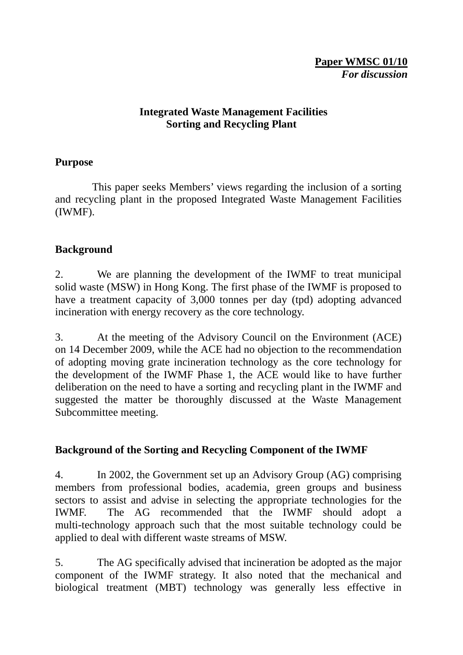#### **Integrated Waste Management Facilities Sorting and Recycling Plant**

#### **Purpose**

 This paper seeks Members' views regarding the inclusion of a sorting and recycling plant in the proposed Integrated Waste Management Facilities (IWMF).

# **Background**

2. We are planning the development of the IWMF to treat municipal solid waste (MSW) in Hong Kong. The first phase of the IWMF is proposed to have a treatment capacity of 3,000 tonnes per day (tpd) adopting advanced incineration with energy recovery as the core technology.

3. At the meeting of the Advisory Council on the Environment (ACE) on 14 December 2009, while the ACE had no objection to the recommendation of adopting moving grate incineration technology as the core technology for the development of the IWMF Phase 1, the ACE would like to have further deliberation on the need to have a sorting and recycling plant in the IWMF and suggested the matter be thoroughly discussed at the Waste Management Subcommittee meeting.

# **Background of the Sorting and Recycling Component of the IWMF**

4. In 2002, the Government set up an Advisory Group (AG) comprising members from professional bodies, academia, green groups and business sectors to assist and advise in selecting the appropriate technologies for the IWMF. The AG recommended that the IWMF should adopt a multi-technology approach such that the most suitable technology could be applied to deal with different waste streams of MSW.

5. The AG specifically advised that incineration be adopted as the major component of the IWMF strategy. It also noted that the mechanical and biological treatment (MBT) technology was generally less effective in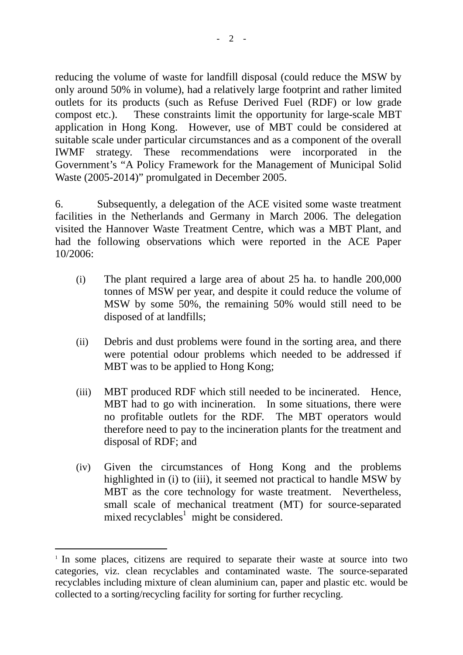reducing the volume of waste for landfill disposal (could reduce the MSW by only around 50% in volume), had a relatively large footprint and rather limited outlets for its products (such as Refuse Derived Fuel (RDF) or low grade compost etc.). These constraints limit the opportunity for large-scale MBT application in Hong Kong. However, use of MBT could be considered at suitable scale under particular circumstances and as a component of the overall IWMF strategy. These recommendations were incorporated in the Government's "A Policy Framework for the Management of Municipal Solid Waste (2005-2014)" promulgated in December 2005.

6. Subsequently, a delegation of the ACE visited some waste treatment facilities in the Netherlands and Germany in March 2006. The delegation visited the Hannover Waste Treatment Centre, which was a MBT Plant, and had the following observations which were reported in the ACE Paper 10/2006:

- (i) The plant required a large area of about 25 ha. to handle 200,000 tonnes of MSW per year, and despite it could reduce the volume of MSW by some 50%, the remaining 50% would still need to be disposed of at landfills;
- (ii) Debris and dust problems were found in the sorting area, and there were potential odour problems which needed to be addressed if MBT was to be applied to Hong Kong;
- (iii) MBT produced RDF which still needed to be incinerated. Hence, MBT had to go with incineration. In some situations, there were no profitable outlets for the RDF. The MBT operators would therefore need to pay to the incineration plants for the treatment and disposal of RDF; and
- (iv) Given the circumstances of Hong Kong and the problems highlighted in (i) to (iii), it seemed not practical to handle MSW by MBT as the core technology for waste treatment. Nevertheless, small scale of mechanical treatment (MT) for source-separated mixed recyclables<sup>1</sup> might be considered.

1

<sup>&</sup>lt;sup>1</sup> In some places, citizens are required to separate their waste at source into two categories, viz. clean recyclables and contaminated waste. The source-separated recyclables including mixture of clean aluminium can, paper and plastic etc. would be collected to a sorting/recycling facility for sorting for further recycling.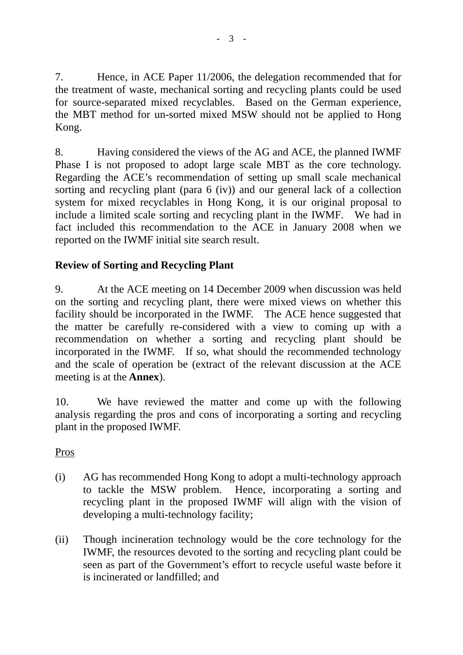7. Hence, in ACE Paper 11/2006, the delegation recommended that for the treatment of waste, mechanical sorting and recycling plants could be used for source-separated mixed recyclables. Based on the German experience, the MBT method for un-sorted mixed MSW should not be applied to Hong Kong.

8. Having considered the views of the AG and ACE, the planned IWMF Phase I is not proposed to adopt large scale MBT as the core technology. Regarding the ACE's recommendation of setting up small scale mechanical sorting and recycling plant (para 6 (iv)) and our general lack of a collection system for mixed recyclables in Hong Kong, it is our original proposal to include a limited scale sorting and recycling plant in the IWMF. We had in fact included this recommendation to the ACE in January 2008 when we reported on the IWMF initial site search result.

# **Review of Sorting and Recycling Plant**

9. At the ACE meeting on 14 December 2009 when discussion was held on the sorting and recycling plant, there were mixed views on whether this facility should be incorporated in the IWMF. The ACE hence suggested that the matter be carefully re-considered with a view to coming up with a recommendation on whether a sorting and recycling plant should be incorporated in the IWMF. If so, what should the recommended technology and the scale of operation be (extract of the relevant discussion at the ACE meeting is at the **Annex**).

10. We have reviewed the matter and come up with the following analysis regarding the pros and cons of incorporating a sorting and recycling plant in the proposed IWMF.

# Pros

- (i) AG has recommended Hong Kong to adopt a multi-technology approach to tackle the MSW problem. Hence, incorporating a sorting and recycling plant in the proposed IWMF will align with the vision of developing a multi-technology facility;
- (ii) Though incineration technology would be the core technology for the IWMF, the resources devoted to the sorting and recycling plant could be seen as part of the Government's effort to recycle useful waste before it is incinerated or landfilled; and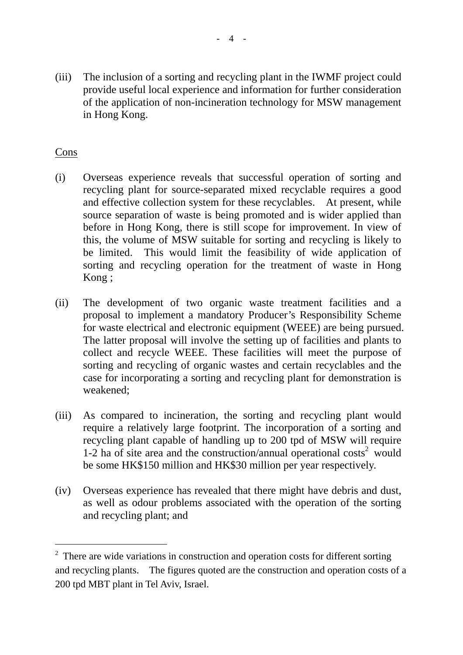(iii) The inclusion of a sorting and recycling plant in the IWMF project could provide useful local experience and information for further consideration of the application of non-incineration technology for MSW management in Hong Kong.

# Cons

1

- (i) Overseas experience reveals that successful operation of sorting and recycling plant for source-separated mixed recyclable requires a good and effective collection system for these recyclables. At present, while source separation of waste is being promoted and is wider applied than before in Hong Kong, there is still scope for improvement. In view of this, the volume of MSW suitable for sorting and recycling is likely to be limited. This would limit the feasibility of wide application of sorting and recycling operation for the treatment of waste in Hong Kong ;
- (ii) The development of two organic waste treatment facilities and a proposal to implement a mandatory Producer's Responsibility Scheme for waste electrical and electronic equipment (WEEE) are being pursued. The latter proposal will involve the setting up of facilities and plants to collect and recycle WEEE. These facilities will meet the purpose of sorting and recycling of organic wastes and certain recyclables and the case for incorporating a sorting and recycling plant for demonstration is weakened;
- (iii) As compared to incineration, the sorting and recycling plant would require a relatively large footprint. The incorporation of a sorting and recycling plant capable of handling up to 200 tpd of MSW will require 1-2 ha of site area and the construction/annual operational  $costs<sup>2</sup>$  would be some HK\$150 million and HK\$30 million per year respectively.
- (iv) Overseas experience has revealed that there might have debris and dust, as well as odour problems associated with the operation of the sorting and recycling plant; and

 $2$  There are wide variations in construction and operation costs for different sorting and recycling plants. The figures quoted are the construction and operation costs of a 200 tpd MBT plant in Tel Aviv, Israel.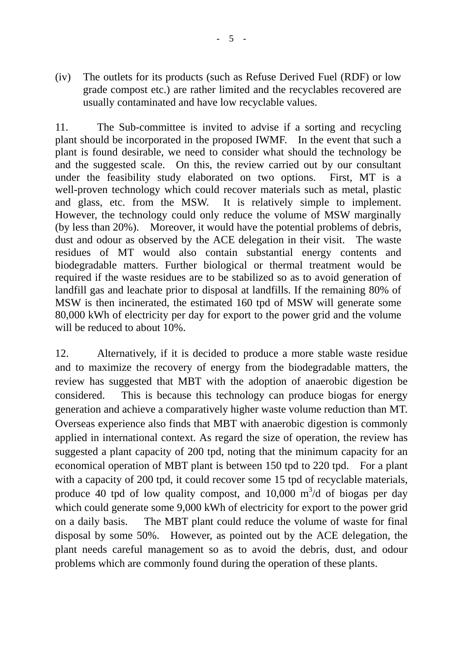11. The Sub-committee is invited to advise if a sorting and recycling plant should be incorporated in the proposed IWMF. In the event that such a plant is found desirable, we need to consider what should the technology be and the suggested scale. On this, the review carried out by our consultant under the feasibility study elaborated on two options. First, MT is a well-proven technology which could recover materials such as metal, plastic and glass, etc. from the MSW. It is relatively simple to implement. However, the technology could only reduce the volume of MSW marginally (by less than 20%). Moreover, it would have the potential problems of debris, dust and odour as observed by the ACE delegation in their visit. The waste residues of MT would also contain substantial energy contents and biodegradable matters. Further biological or thermal treatment would be required if the waste residues are to be stabilized so as to avoid generation of landfill gas and leachate prior to disposal at landfills. If the remaining 80% of MSW is then incinerated, the estimated 160 tpd of MSW will generate some 80,000 kWh of electricity per day for export to the power grid and the volume will be reduced to about 10%.

12. Alternatively, if it is decided to produce a more stable waste residue and to maximize the recovery of energy from the biodegradable matters, the review has suggested that MBT with the adoption of anaerobic digestion be considered. This is because this technology can produce biogas for energy generation and achieve a comparatively higher waste volume reduction than MT. Overseas experience also finds that MBT with anaerobic digestion is commonly applied in international context. As regard the size of operation, the review has suggested a plant capacity of 200 tpd, noting that the minimum capacity for an economical operation of MBT plant is between 150 tpd to 220 tpd. For a plant with a capacity of 200 tpd, it could recover some 15 tpd of recyclable materials, produce 40 tpd of low quality compost, and 10,000  $\text{m}^3/\text{d}$  of biogas per day which could generate some 9,000 kWh of electricity for export to the power grid on a daily basis. The MBT plant could reduce the volume of waste for final disposal by some 50%. However, as pointed out by the ACE delegation, the plant needs careful management so as to avoid the debris, dust, and odour problems which are commonly found during the operation of these plants.